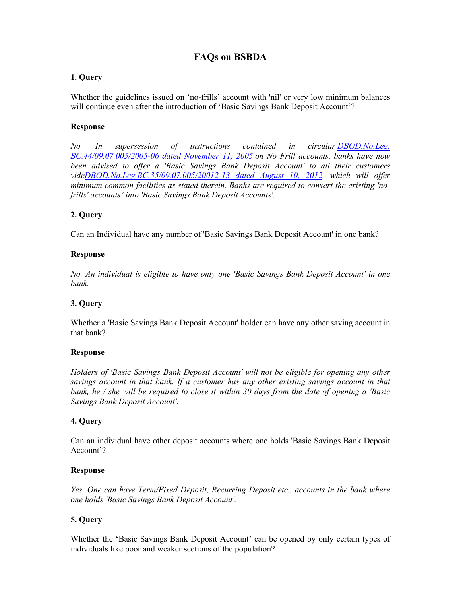# **FAQs on BSBDA**

# **1. Query**

Whether the guidelines issued on 'no-frills' account with 'nil' or very low minimum balances will continue even after the introduction of 'Basic Savings Bank Deposit Account'?

# **Response**

*No. In supersession of instructions contained in circular DBOD.No.Leg. BC.44/09.07.005/2005-06 dated November 11, 2005 on No Frill accounts, banks have now been advised to offer a 'Basic Savings Bank Deposit Account' to all their customers videDBOD.No.Leg.BC.35/09.07.005/20012-13 dated August 10, 2012, which will offer minimum common facilities as stated therein. Banks are required to convert the existing 'nofrills' accounts' into 'Basic Savings Bank Deposit Accounts'.* 

# **2. Query**

Can an Individual have any number of 'Basic Savings Bank Deposit Account' in one bank?

# **Response**

*No. An individual is eligible to have only one 'Basic Savings Bank Deposit Account' in one bank.* 

# **3. Query**

Whether a 'Basic Savings Bank Deposit Account' holder can have any other saving account in that bank?

### **Response**

*Holders of 'Basic Savings Bank Deposit Account' will not be eligible for opening any other savings account in that bank. If a customer has any other existing savings account in that bank, he / she will be required to close it within 30 days from the date of opening a 'Basic Savings Bank Deposit Account'.* 

### **4. Query**

Can an individual have other deposit accounts where one holds 'Basic Savings Bank Deposit Account'?

### **Response**

*Yes. One can have Term/Fixed Deposit, Recurring Deposit etc., accounts in the bank where one holds 'Basic Savings Bank Deposit Account'.* 

# **5. Query**

Whether the 'Basic Savings Bank Deposit Account' can be opened by only certain types of individuals like poor and weaker sections of the population?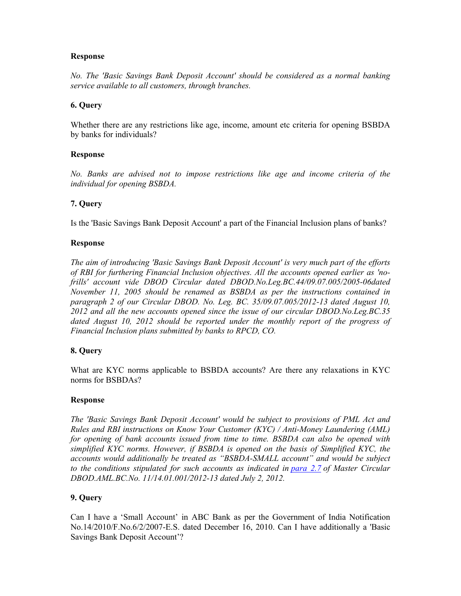*No. The 'Basic Savings Bank Deposit Account' should be considered as a normal banking service available to all customers, through branches.* 

### **6. Query**

Whether there are any restrictions like age, income, amount etc criteria for opening BSBDA by banks for individuals?

### **Response**

*No. Banks are advised not to impose restrictions like age and income criteria of the individual for opening BSBDA.* 

### **7. Query**

Is the 'Basic Savings Bank Deposit Account' a part of the Financial Inclusion plans of banks?

### **Response**

*The aim of introducing 'Basic Savings Bank Deposit Account' is very much part of the efforts of RBI for furthering Financial Inclusion objectives. All the accounts opened earlier as 'nofrills' account vide DBOD Circular dated DBOD.No.Leg.BC.44/09.07.005/2005-06dated November 11, 2005 should be renamed as BSBDA as per the instructions contained in paragraph 2 of our Circular DBOD. No. Leg. BC. 35/09.07.005/2012-13 dated August 10, 2012 and all the new accounts opened since the issue of our circular DBOD.No.Leg.BC.35 dated August 10, 2012 should be reported under the monthly report of the progress of Financial Inclusion plans submitted by banks to RPCD, CO.* 

### **8. Query**

What are KYC norms applicable to BSBDA accounts? Are there any relaxations in KYC norms for BSBDAs?

#### **Response**

*The 'Basic Savings Bank Deposit Account' would be subject to provisions of PML Act and Rules and RBI instructions on Know Your Customer (KYC) / Anti-Money Laundering (AML) for opening of bank accounts issued from time to time. BSBDA can also be opened with simplified KYC norms. However, if BSBDA is opened on the basis of Simplified KYC, the accounts would additionally be treated as "BSBDA-SMALL account" and would be subject to the conditions stipulated for such accounts as indicated in para 2.7 of Master Circular DBOD.AML.BC.No. 11/14.01.001/2012-13 dated July 2, 2012.*

### **9. Query**

Can I have a 'Small Account' in ABC Bank as per the Government of India Notification No.14/2010/F.No.6/2/2007-E.S. dated December 16, 2010. Can I have additionally a 'Basic Savings Bank Deposit Account'?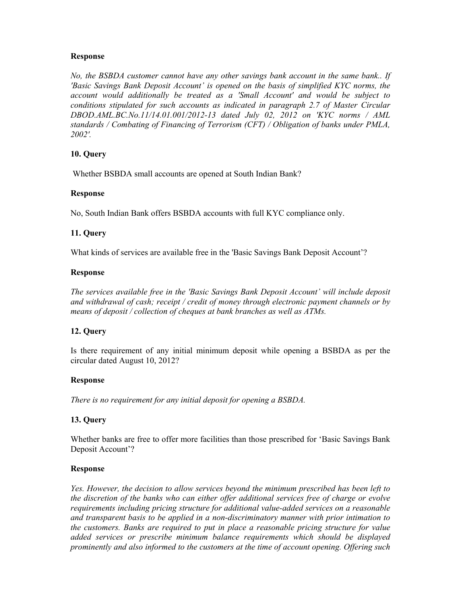*No, the BSBDA customer cannot have any other savings bank account in the same bank.. If 'Basic Savings Bank Deposit Account' is opened on the basis of simplified KYC norms, the account would additionally be treated as a 'Small Account' and would be subject to conditions stipulated for such accounts as indicated in paragraph 2.7 of Master Circular DBOD.AML.BC.No.11/14.01.001/2012-13 dated July 02, 2012 on 'KYC norms / AML standards / Combating of Financing of Terrorism (CFT) / Obligation of banks under PMLA, 2002'.* 

# **10. Query**

Whether BSBDA small accounts are opened at South Indian Bank?

### **Response**

No, South Indian Bank offers BSBDA accounts with full KYC compliance only.

# **11. Query**

What kinds of services are available free in the 'Basic Savings Bank Deposit Account'?

### **Response**

*The services available free in the 'Basic Savings Bank Deposit Account' will include deposit and withdrawal of cash; receipt / credit of money through electronic payment channels or by means of deposit / collection of cheques at bank branches as well as ATMs.* 

### **12. Query**

Is there requirement of any initial minimum deposit while opening a BSBDA as per the circular dated August 10, 2012?

### **Response**

*There is no requirement for any initial deposit for opening a BSBDA.* 

### **13. Query**

Whether banks are free to offer more facilities than those prescribed for 'Basic Savings Bank Deposit Account'?

### **Response**

*Yes. However, the decision to allow services beyond the minimum prescribed has been left to the discretion of the banks who can either offer additional services free of charge or evolve requirements including pricing structure for additional value-added services on a reasonable and transparent basis to be applied in a non-discriminatory manner with prior intimation to the customers. Banks are required to put in place a reasonable pricing structure for value added services or prescribe minimum balance requirements which should be displayed prominently and also informed to the customers at the time of account opening. Offering such*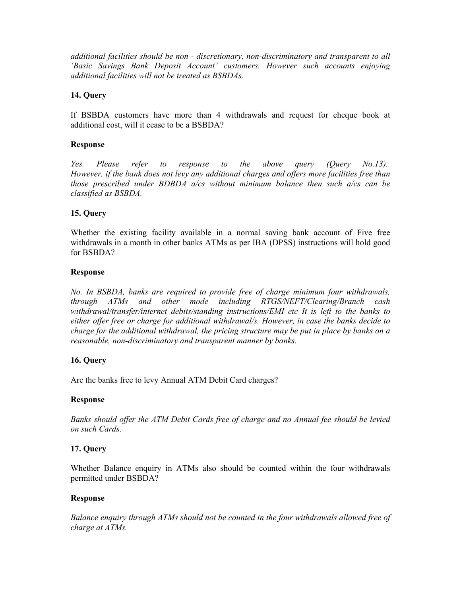*additional facilities should be non - discretionary, non-discriminatory and transparent to all 'Basic Savings Bank Deposit Account' customers. However such accounts enjoying additional facilities will not be treated as BSBDAs.* 

### **14. Query**

If BSBDA customers have more than 4 withdrawals and request for cheque book at additional cost, will it cease to be a BSBDA?

#### **Response**

*Yes. Please refer to response to the above query (Query No.13). However, if the bank does not levy any additional charges and offers more facilities free than those prescribed under BDBDA a/cs without minimum balance then such a/cs can be classified as BSBDA.* 

### **15. Query**

Whether the existing facility available in a normal saving bank account of Five free withdrawals in a month in other banks ATMs as per IBA (DPSS) instructions will hold good for BSBDA?

#### **Response**

*No. In BSBDA, banks are required to provide free of charge minimum four withdrawals, through ATMs and other mode including RTGS/NEFT/Clearing/Branch cash withdrawal/transfer/internet debits/standing instructions/EMI etc It is left to the banks to either offer free or charge for additional withdrawal/s. However, in case the banks decide to charge for the additional withdrawal, the pricing structure may be put in place by banks on a reasonable, non-discriminatory and transparent manner by banks.* 

### **16. Query**

Are the banks free to levy Annual ATM Debit Card charges?

#### **Response**

*Banks should offer the ATM Debit Cards free of charge and no Annual fee should be levied on such Cards.* 

### **17. Query**

Whether Balance enquiry in ATMs also should be counted within the four withdrawals permitted under BSBDA?

#### **Response**

*Balance enquiry through ATMs should not be counted in the four withdrawals allowed free of charge at ATMs.*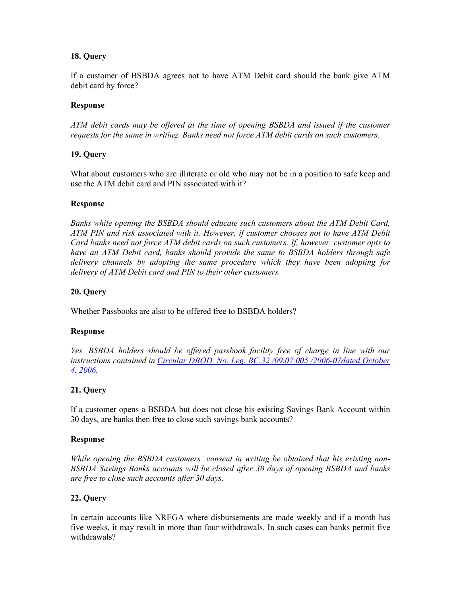# **18. Query**

If a customer of BSBDA agrees not to have ATM Debit card should the bank give ATM debit card by force?

### **Response**

*ATM debit cards may be offered at the time of opening BSBDA and issued if the customer requests for the same in writing. Banks need not force ATM debit cards on such customers.* 

### **19. Query**

What about customers who are illiterate or old who may not be in a position to safe keep and use the ATM debit card and PIN associated with it?

### **Response**

*Banks while opening the BSBDA should educate such customers about the ATM Debit Card, ATM PIN and risk associated with it. However, if customer chooses not to have ATM Debit Card banks need not force ATM debit cards on such customers. If, however, customer opts to have an ATM Debit card, banks should provide the same to BSBDA holders through safe delivery channels by adopting the same procedure which they have been adopting for delivery of ATM Debit card and PIN to their other customers.* 

### **20. Query**

Whether Passbooks are also to be offered free to BSBDA holders?

#### **Response**

*Yes. BSBDA holders should be offered passbook facility free of charge in line with our instructions contained in Circular DBOD. No. Leg. BC.32 /09.07.005 /2006-07dated October 4, 2006.* 

### **21. Query**

If a customer opens a BSBDA but does not close his existing Savings Bank Account within 30 days, are banks then free to close such savings bank accounts?

#### **Response**

*While opening the BSBDA customers' consent in writing be obtained that his existing non-BSBDA Savings Banks accounts will be closed after 30 days of opening BSBDA and banks are free to close such accounts after 30 days.* 

### **22. Query**

In certain accounts like NREGA where disbursements are made weekly and if a month has five weeks, it may result in more than four withdrawals. In such cases can banks permit five withdrawals?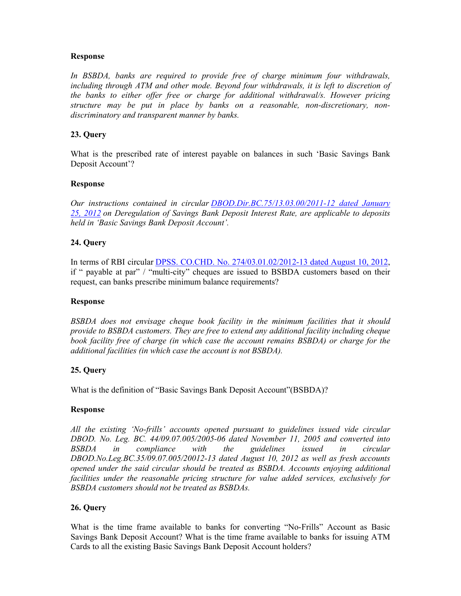*In BSBDA, banks are required to provide free of charge minimum four withdrawals, including through ATM and other mode. Beyond four withdrawals, it is left to discretion of the banks to either offer free or charge for additional withdrawal/s. However pricing structure may be put in place by banks on a reasonable, non-discretionary, nondiscriminatory and transparent manner by banks.* 

### **23. Query**

What is the prescribed rate of interest payable on balances in such 'Basic Savings Bank Deposit Account'?

### **Response**

*Our instructions contained in circular DBOD.Dir.BC.75/13.03.00/2011-12 dated January 25, 2012 on Deregulation of Savings Bank Deposit Interest Rate, are applicable to deposits held in 'Basic Savings Bank Deposit Account'.* 

### **24. Query**

In terms of RBI circular DPSS. CO.CHD. No. 274/03.01.02/2012-13 dated August 10, 2012, if " payable at par" / "multi-city" cheques are issued to BSBDA customers based on their request, can banks prescribe minimum balance requirements?

#### **Response**

*BSBDA does not envisage cheque book facility in the minimum facilities that it should provide to BSBDA customers. They are free to extend any additional facility including cheque book facility free of charge (in which case the account remains BSBDA) or charge for the additional facilities (in which case the account is not BSBDA).* 

#### **25. Query**

What is the definition of "Basic Savings Bank Deposit Account"(BSBDA)?

#### **Response**

*All the existing 'No-frills' accounts opened pursuant to guidelines issued vide circular DBOD. No. Leg. BC. 44/09.07.005/2005-06 dated November 11, 2005 and converted into BSBDA in compliance with the guidelines issued in circular DBOD.No.Leg.BC.35/09.07.005/20012-13 dated August 10, 2012 as well as fresh accounts opened under the said circular should be treated as BSBDA. Accounts enjoying additional facilities under the reasonable pricing structure for value added services, exclusively for BSBDA customers should not be treated as BSBDAs.* 

### **26. Query**

What is the time frame available to banks for converting "No-Frills" Account as Basic Savings Bank Deposit Account? What is the time frame available to banks for issuing ATM Cards to all the existing Basic Savings Bank Deposit Account holders?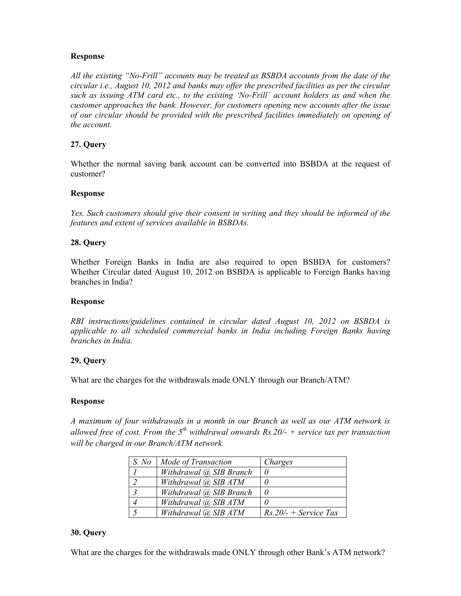*All the existing "No-Frill" accounts may be treated as BSBDA accounts from the date of the circular i.e., August 10, 2012 and banks may offer the prescribed facilities as per the circular such as issuing ATM card etc., to the existing 'No-Frill' account holders as and when the customer approaches the bank. However, for customers opening new accounts after the issue of our circular should be provided with the prescribed facilities immediately on opening of the account.* 

# **27. Query**

Whether the normal saving bank account can be converted into BSBDA at the request of customer?

### **Response**

*Yes. Such customers should give their consent in writing and they should be informed of the features and extent of services available in BSBDAs.* 

### **28. Query**

Whether Foreign Banks in India are also required to open BSBDA for customers? Whether Circular dated August 10, 2012 on BSBDA is applicable to Foreign Banks having branches in India?

#### **Response**

*RBI instructions/guidelines contained in circular dated August 10, 2012 on BSBDA is applicable to all scheduled commercial banks in India including Foreign Banks having branches in India.* 

### **29. Query**

What are the charges for the withdrawals made ONLY through our Branch/ATM?

#### **Response**

*A maximum of four withdrawals in a month in our Branch as well as our ATM network is*  allowed free of cost. From the  $5<sup>th</sup>$  withdrawal onwards Rs.20/- + service tax per transaction *will be charged in our Branch/ATM network.* 

| S. No | Mode of Transaction        | Charges                 |
|-------|----------------------------|-------------------------|
|       | Withdrawal (a) SIB Branch  |                         |
|       | Withdrawal (a), SIB ATM    |                         |
|       | Withdrawal (a), SIB Branch |                         |
|       | Withdrawal (a), SIB ATM    |                         |
|       | Withdrawal (a), SIB ATM    | $Rs.20/- + Service Tax$ |

#### **30. Query**

What are the charges for the withdrawals made ONLY through other Bank's ATM network?